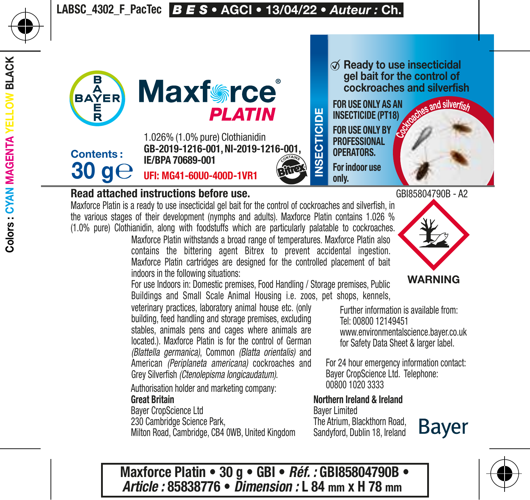

## Read attached instructions before use.

Maxforce Platin is a ready to use insecticidal gel bait for the control of cockroaches and silverfish, in the various stages of their development (nymphs and adults). Maxforce Platin contains 1.026 % (1.0% pure) Clothianidin, along with foodstuffs which are particularly palatable to cockroaches.

Maxforce Platin withstands a broad range of temperatures. Maxforce Platin also contains the bittering agent Bitrex to prevent accidental ingestion. Maxforce Platin cartridges are designed for the controlled placement of bait indoors in the following situations:

For use Indoors in: Domestic premises, Food Handling / Storage premises, Public Buildings and Small Scale Animal Housing i.e. zoos, pet shops, kennels,

veterinary practices, laboratory animal house etc. (only building, feed handling and storage premises, excluding stables, animals pens and cages where animals are located.). Maxforce Platin is for the control of German *(Blattella germanica)*, Common *(Blatta orientalis)* and American *(Periplaneta americana)* cockroaches and Grey Silverfish *(Ctenolepisma longicaudatum)*.

Authorisation holder and marketing company: Great Britain

Bayer CropScience Ltd

230 Cambridge Science Park,

Milton Road, Cambridge, CB4 0WB, United Kingdom

 $\oslash$  Ready to use insecticidal gel bait for the control of cockroaches and silverfish

FOR USE ONLY AS AN INSECTICIDE (PT18) FOR USE ONLY BY PROFESSIONAL OPERATORS.





**Bayer** 

Further information is available from: Tel: 00800 12149451 www.environmentalscience.bayer.co.uk for Safety Data Sheet & larger label.

For 24 hour emergency information contact: Bayer CropScience Ltd. Telephone: 00800 1020 3333

Northern Ireland & Ireland Bayer Limited

The Atrium, Blackthorn Road, Sandyford, Dublin 18, Ireland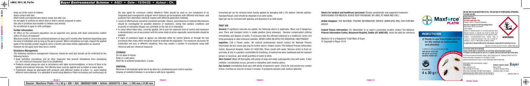

 $\emptyset$  Ready to use insecticidal g for the control of cockroach and silverfish

FOR USE ONLY AS AN INSECTICIDE (PT18). FOR USE ONLY BY PROFESSIONAL OPERATORS. For indoor use only.



Safety information<br>**MAXFORCE® PLATIN** UFI: MG41-60U0-400D-1VR1 Contains 1.026% (1.0% pure) Clothianidin. Very toxic to aquatic life with long lasting effects. Avoid release into the environment. Collect spillage. Dispose of contents/container to a licensed hazardous-waste disposal contractor or collection site except for empty clean containers which can be disposed of as non-hazardous waste. Contains 1.2-benzisothiazolin-3-one, reaction mass 5-chloro-2- methyl-2H-isothiazol-3-one and 2-methyl-2Hisothiazol-3- one (3:1). May produce an allergic reaction.

Authorisation holder and marketing company Great Britain Bayer CropScience Ltd

230 Cambridge Science Park, Milton Road, Cambridge, CB4 0WB, United Kingdom Sandyford, Dublin 18, Ireland Bayer Limited The Atrium, Blackthorn Road,

4 x 30 g GBI85821490B - A2



For 24 hour emergency information contact: Bayer CropScience Ltd. Telephone: 00800 1020 3333 Further information is available from: Tel: 00800 12149451

www.environmentalscience.bayer.co.uk for Safety Data Sheet & larger label

GB-2019-1216-001, NI-2019-1216-001, IE/BPA 70689-001

Use biocides safely and sustainably.

Always read the label or leaflet before use and follow all the instructions provided. It is illegal to use this product for uses or in a manner other than that prescribed on this label.

United Kingdom: THE NATIONAL POISONS INFORMATION SERVICE (WWW.NPIS.ORG) FOR FURTHER **ADVICE** 

Ireland Poison Information: For information or to report a poisoning incident contact The National Poisons Information Centre, Beaumont Hospital, Dublin (01-8092166), retain the label for reference

Keep out of the reach of children. Avoid contact with skin. Wash hands and exposed skin before meals and after use. Do not apply to surfaces on which food or feed is stored, prepared or eaten. Use only in positions inaccessible to children and animals. Do not attempt to open or refill cartridges.

## Further Information:

An effect on the cockroach population can be expected very quickly with dead cockroaches evident within 24 hours of treatment.

> Cockroache<sup>s</sup> <sup>a</sup>n<sup>d</sup> <sup>s</sup>ilverfis<sup>h</sup> 1.026% (1.0% pure) Clothianidin GB-2019-1216-001 NI-2019-1216-001 IE/BPA 70689-001

Maximum levels of control are achieved between six days and 2 months after treatment depending upon the level of infestation and as long as the gel is present. Where infestations are high, inspect the applied spots of the biocidal product regularly (once a month) and make further applications as required. However do not apply more than once a month.

## Resistance Management:

The following resistance management measures should be used (but should not be restricted to) the following factors:

- Good sanitation procedures and all other measures that prevent infestations from developing (i.e. non-chemical measures) have to be established.
- Products should always be used in accordance with label recommendations, in terms of dose to be applied and treatment intervals. The effective dose must be applied and no higher or lower doses.
- Treatments should be alternated with products with different modes of action, i.e. avoid rotating different neonicotinoids. It is advisable to avoid using Maxforce Platin exclusively and continuously as

the sole agent for cockroach control. Maxforce Platin should be used as one component of an integrated pest management program which features gel formulations with different food bases, and products from alternative chemical classes with different application methods.

- Levels of effectiveness should be monitored (periodic checks), and instances of reduced effectiveness should be investigated for possible evidence of resistance, noting that sanitary conditions and proximity of untreated refuges can contribute to the risk of re-infestation.
- In cases where label rates, correctly applied, fail to give the expected level of control and resistance is demonstrated, use of any product with the same mode of action especially neonicotinoids should be avoided.
- If signs of resistance begin to appear (as indicated either by control failures or through the test procedure) then every effort should be made to eradicate the population. The measures necessary for eradication will vary in different situations; they may involve a number of procedures using both chemical and non-chemical measures.

## STORAGE:

Do not allow to freeze. Keep in a safe place. Shelf life at ambient temperature: 2 years

## DISPOSAL:

Removal of old baits/gel spots has to be done by a professional pest control operator. Dispose of contents/container in accordance with local regulation.

Unwanted gel can be removed when freshly applied by sponging with a 5% sodium chloride solution. Sponges/tissues used should be disposed of as solid waste. Aged gel can be removed with spatulas and disposed of as solid waste.

# FIRST AID

General: If significant amounts are spilled, the following advice is applicable. Move out of dangerous area. Place and transport victim in stable position (lying sideways). Remove contaminated clothing immediately and dispose of safely. If necessary take the affected individual to a healthcare centre and bring packaging or label whenever possible. NEVER LEAVE AN AFFECTED INDIVIDUAL UNATTENDED! Ingestion: Call a Poison centre. UK medical professionals should contact the National Poisons Information Service (www.npis.org) for further advice. Ireland contact The National Poisons Information Centre, Beaumont Hospital, Dublin (01-8092166). Rinse mouth with water. Remove victim to fresh air and keep at rest in a position comfortable for breathing. If material has been swallowed and the exposed person is conscious, give small quantities of water to drink. Skin Contact: Wash off thoroughly with plenty of soap and water subsequently rinse with water. If skin irritation / sensitization occurs, persists or intensifies seek medical advice. Eye Contact: Immediately flush eyes with plenty of lukewarm water. Check for and remove any contact

lenses. Continue to rinse for at least 5 minutes. If symptoms persists seek medical attention.

Advice for medical and healthcare personnel: Provide symptomatic and supportive treatment. WHEN ASKING FOR MEDICAL ADVICE KEEP PACKAGING OR LABEL AT HAND AND CALL:

Maxforce ® is a Registered Trade Mark of Bayer. © Copyright of Bayer 2019.



# **INSECTICIDE**

To avoid risks to human health and the environment, comply with the instructions for use.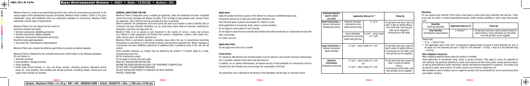| target areas.                  | <b>Cockroach Species:</b><br>against nymphs<br>and adults                    | Application Rate per m <sup>2</sup> *                                                                              |                                                          | <b>Follow Up</b>                                                                                                                                             |
|--------------------------------|------------------------------------------------------------------------------|--------------------------------------------------------------------------------------------------------------------|----------------------------------------------------------|--------------------------------------------------------------------------------------------------------------------------------------------------------------|
| s or contaminate the bait with | <b>Small Cockroaches i.e.</b><br>German Cockroaches<br>(Blattella germanica) | Moderate Infestation<br>(cockroaches rarely<br>visible during the day)                                             | $0.1$ g/m <sup>2</sup>                                   | The gel baits must stay in place at<br>least 14 days for optimal efficacy.<br>One month after, new fresh gel<br>baits can be reapplied if                    |
|                                |                                                                              | Severe infestation<br>(cockroaches commonly<br>visible during the day)                                             | $0.2$ g/m <sup>2</sup> - using 2 spots<br>of 0.1 $q/m^2$ | cockroaches are still visible.                                                                                                                               |
|                                | Large Cockroaches i.e<br>Oriental Cockroaches<br>(Blatta orientalis)         | 0.2 $q/m^2$ - using 2 spots of 0.1 $q/m^2$                                                                         |                                                          | The gel baits must stay in place at<br>least 4 weeks for optimal efficacy.<br>If cockroaches are still visible, new<br>fresh gel baits can be reapplied.     |
| ound cockroach harbourages     |                                                                              |                                                                                                                    |                                                          |                                                                                                                                                              |
| able for cockroaches must be   | American<br><b>Cockroaches</b><br>(Periplaneta americana)                    | 0.2 $g/m^2$ - using 2 spots of 0.1 $g/m^2$<br>0R<br>$0.3$ g/m <sup>2</sup> - using 3 spots of 0.1 g/m <sup>2</sup> |                                                          | The gel baits must stay in place at<br>least 12 weeks for optimal<br>efficacy.<br>If cockroaches are still visible, new<br>fresh gel baits can be reapplied. |
| pe of cockroach found.         |                                                                              |                                                                                                                    |                                                          |                                                                                                                                                              |

| Silverfish:<br>mixed age population                    | Application Rate per m <sup>2</sup> | <b>Follow Up</b>                                                                                                                                            |
|--------------------------------------------------------|-------------------------------------|-------------------------------------------------------------------------------------------------------------------------------------------------------------|
| <b>Grey Silverfish</b><br>(Ctenolepisma longicaudatum) | $0.1422a/m2**$                      | The gel baits must stay in place at least 8 weeks for<br>optimal efficacy. If grey silverfishes are still visible,<br>new fresh gel baits can be reapplied. |

Maxforce Platin is a ready to use insecticidal gel bait for the control of cockroaches and silverfish, in the various stages of their development (nymphs and adults). Maxforce Platin contains 1.026% (1.0% pure) Clothianidin, along with foodstuffs which are particularly palatable to cockroaches. Maxforce Platin withstands a broad range of temperatures.

Maxforce Platin is for use Indoors for the control of: Cockroach nymphs and adults:

• German Cockroaches *(Blattella germanica)*

• Oriental Cockroaches *(Blatta orientalis)*

• American Cockroaches *(Periplaneta americana)*

Silverfish mixed aged population:

• Grey silver fish *(Ctenolepisma longicaudatum)*

Maxforce Platin also contains the bittering agent Bitrex to prevent accidental ingestion.

Maxforce Platin is designed for the controlled placement of bait indoors in the following situations: For use Indoors in:

- Domestic premises
- Food Handling / Storage premises
- Public Buildings

Apply the product directly as spots or thin ribbons to surfaces in identified to It should be placed out of sight and where light intensity is low. Place the bait spots in places inaccessible for children or pets. Avoid application to excessively dusty, damp or greasy locations. Do not apply in areas subject to wet cleaning. Do not apply to areas that have recently been treated with other insecticides other insecticides. For indoor use only.

• Small Scale Animal Housing i.e. zoos, pet shops, kennels, veterinary practices, laboratory animal house etc. (only building, feed handling and storage premises, excluding stables, animal pens and cages where animals are located).

For maximum effectiveness the biocidal product must be placed in and around are and, if possible, between these areas and food sources. In addition, for an optimal effectiveness, all natural sources of food palatable for cockromation. removed from the infested area to encourage the consumption of the bait.

The application rate is adjusted to the density of the infestation and the type

### GENERAL DIRECTIONS FOR USE

Maxforce Platin is dispensed using a suitable gel applicator. When the treatment has been completed remove the empty cartridge and dispose of safely. If the cartridge is only partially used, remove it from the applicator, seal it with the end cap provided and store as directed.

Before treatment, the professional user must survey the area to be treated in order to identify sites of cockroach and grey silverfish infestation e.g. by using traps and/or flush-out aerosols, searching for droppings, cask skins and egg cases etc.

Maxforce Platin is to be placed as spot treatment in the vicinity of corners, cracks and crevices (e.g. behind or under equipment and furniture like counters, refrigerators, cookers, sinks, baths etc.), voids, service-ducts, lift shafts, pipework etc.

Maxforce Platin is particularly valuable in sensitive areas where the use of conventional insecticide formulations is restricted e.g. in the vicinity of electric and electronic equipment etc. Where migration of cockroaches has been identified, placement of additional bait in peripheral areas of the site will aid control.

Some sensitive materials e.g. textiles may be stained by the product. If in doubt, apply to a small, inconspicuous area first. Not for maintenance usage. Do not apply in animal pens and cages. READ ALL PRECAUTIONS BEFORE USE INFORM THE REGISTRATION HOLDER IF THE TREATMENT IS INEFFECTIVE DO NOT APPLY ON ABSORBENT SURFACES DO NOT EXPOSE BAIT DROPS TO SUNLIGHT OR HEAT SOURCES

# PROTECT FROM RAIN

## Application:

## Application Rate:

Do not apply more than once a month.

#### Cockroaches

For use against grey silverfish: Place many small drops in areas where grey silverfish hide and live. These areas may be under or behind base/skirting boards, under wooden panelling or other areas that provide cover

## Silverfish:

#### Please note:

 $*$  0.1g  $\approx$  1 drop of 7mm

\*\* The application rate 0.1422 g/m<sup>2</sup> corresponds to approximately 20 spots of 3mm diameter per sqm or 65 drops of 2 mm diameter per sqm (1 drop of 2 mm diameter  $\approx 0.002q$ , 1 drop of 3 mm diameter drop  $\approx 0.007a$ 

#### Risk mitigation measures:

Wear suitable protective gloves when the product is handled.

Avoid application to excessively dusty, damp or greasy locations. Only apply in areas not subjected to wet-cleaning. Pay particular attention to cracks and crevices and other entry points usually used by insects, as well as areas behind or under machinery, kitchen and bathroom equipment or pipework. The product can be placed in voids, service-ducts, lift shafts, electric and electronic equipment, etc.

Not intended for uses in stables, pens or cages for animals. Not recommended for use in insectivorous birds and reptiles' facilities.